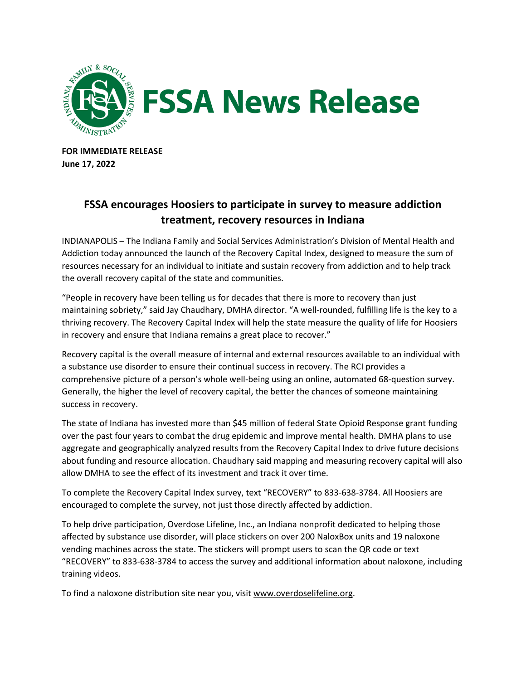

**FOR IMMEDIATE RELEASE June 17, 2022**

## **FSSA encourages Hoosiers to participate in survey to measure addiction treatment, recovery resources in Indiana**

INDIANAPOLIS – The Indiana Family and Social Services Administration's Division of Mental Health and Addiction today announced the launch of the Recovery Capital Index, designed to measure the sum of resources necessary for an individual to initiate and sustain recovery from addiction and to help track the overall recovery capital of the state and communities.

"People in recovery have been telling us for decades that there is more to recovery than just maintaining sobriety," said Jay Chaudhary, DMHA director. "A well-rounded, fulfilling life is the key to a thriving recovery. The Recovery Capital Index will help the state measure the quality of life for Hoosiers in recovery and ensure that Indiana remains a great place to recover."

Recovery capital is the overall measure of internal and external resources available to an individual with a substance use disorder to ensure their continual success in recovery. The RCI provides a comprehensive picture of a person's whole well-being using an online, automated 68-question survey. Generally, the higher the level of recovery capital, the better the chances of someone maintaining success in recovery.

The state of Indiana has invested more than \$45 million of federal State Opioid Response grant funding over the past four years to combat the drug epidemic and improve mental health. DMHA plans to use aggregate and geographically analyzed results from the Recovery Capital Index to drive future decisions about funding and resource allocation. Chaudhary said mapping and measuring recovery capital will also allow DMHA to see the effect of its investment and track it over time.

To complete the Recovery Capital Index survey, text "RECOVERY" to 833-638-3784. All Hoosiers are encouraged to complete the survey, not just those directly affected by addiction.

To help drive participation, Overdose Lifeline, Inc., an Indiana nonprofit dedicated to helping those affected by substance use disorder, will place stickers on over 200 NaloxBox units and 19 naloxone vending machines across the state. The stickers will prompt users to scan the QR code or text "RECOVERY" to 833-638-3784 to access the survey and additional information about naloxone, including training videos.

To find a naloxone distribution site near you, visit [www.overdoselifeline.org.](http://www.overdoselifeline.org/)